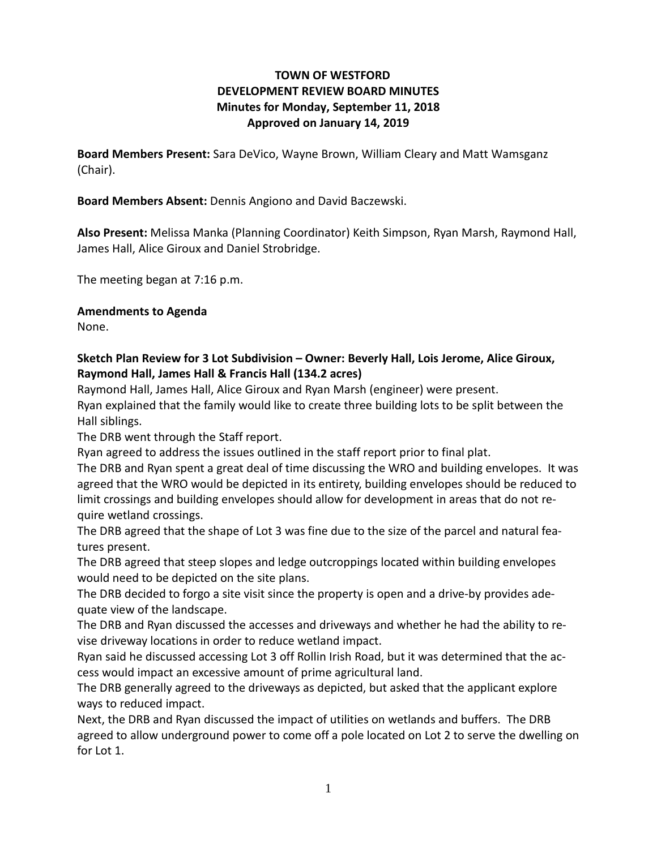## **TOWN OF WESTFORD DEVELOPMENT REVIEW BOARD MINUTES Minutes for Monday, September 11, 2018 Approved on January 14, 2019**

**Board Members Present:** Sara DeVico, Wayne Brown, William Cleary and Matt Wamsganz (Chair).

**Board Members Absent:** Dennis Angiono and David Baczewski.

**Also Present:** Melissa Manka (Planning Coordinator) Keith Simpson, Ryan Marsh, Raymond Hall, James Hall, Alice Giroux and Daniel Strobridge.

The meeting began at 7:16 p.m.

**Amendments to Agenda**

None.

## **Sketch Plan Review for 3 Lot Subdivision – Owner: Beverly Hall, Lois Jerome, Alice Giroux, Raymond Hall, James Hall & Francis Hall (134.2 acres)**

Raymond Hall, James Hall, Alice Giroux and Ryan Marsh (engineer) were present.

Ryan explained that the family would like to create three building lots to be split between the Hall siblings.

The DRB went through the Staff report.

Ryan agreed to address the issues outlined in the staff report prior to final plat.

The DRB and Ryan spent a great deal of time discussing the WRO and building envelopes. It was agreed that the WRO would be depicted in its entirety, building envelopes should be reduced to limit crossings and building envelopes should allow for development in areas that do not require wetland crossings.

The DRB agreed that the shape of Lot 3 was fine due to the size of the parcel and natural features present.

The DRB agreed that steep slopes and ledge outcroppings located within building envelopes would need to be depicted on the site plans.

The DRB decided to forgo a site visit since the property is open and a drive-by provides adequate view of the landscape.

The DRB and Ryan discussed the accesses and driveways and whether he had the ability to revise driveway locations in order to reduce wetland impact.

Ryan said he discussed accessing Lot 3 off Rollin Irish Road, but it was determined that the access would impact an excessive amount of prime agricultural land.

The DRB generally agreed to the driveways as depicted, but asked that the applicant explore ways to reduced impact.

Next, the DRB and Ryan discussed the impact of utilities on wetlands and buffers. The DRB agreed to allow underground power to come off a pole located on Lot 2 to serve the dwelling on for Lot 1.